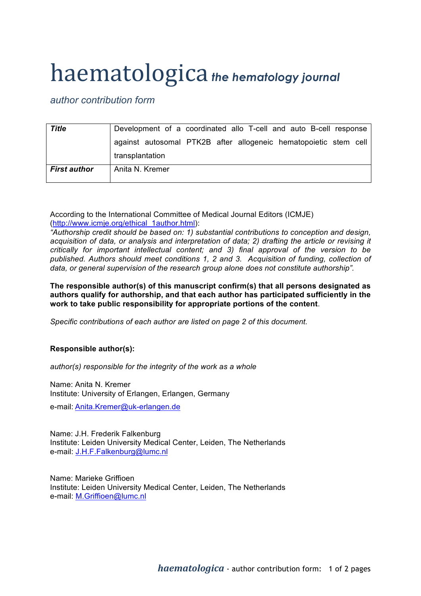## haematologica *the hematology journal*

*author contribution form*

| <b>Title</b>        | Development of a coordinated allo T-cell and auto B-cell response |
|---------------------|-------------------------------------------------------------------|
|                     | against autosomal PTK2B after allogeneic hematopoietic stem cell  |
|                     | transplantation                                                   |
| <b>First author</b> | Anita N. Kremer                                                   |

According to the International Committee of Medical Journal Editors (ICMJE) (http://www.icmje.org/ethical\_1author.html):

*"Authorship credit should be based on: 1) substantial contributions to conception and design, acquisition of data, or analysis and interpretation of data; 2) drafting the article or revising it critically for important intellectual content; and 3) final approval of the version to be published. Authors should meet conditions 1, 2 and 3. Acquisition of funding, collection of data, or general supervision of the research group alone does not constitute authorship".*

**The responsible author(s) of this manuscript confirm(s) that all persons designated as authors qualify for authorship, and that each author has participated sufficiently in the work to take public responsibility for appropriate portions of the content**.

*Specific contributions of each author are listed on page 2 of this document.*

## **Responsible author(s):**

*author(s) responsible for the integrity of the work as a whole*

Name: Anita N. Kremer Institute: University of Erlangen, Erlangen, Germany

e-mail: Anita.Kremer@uk-erlangen.de

Name: J.H. Frederik Falkenburg Institute: Leiden University Medical Center, Leiden, The Netherlands e-mail: J.H.F.Falkenburg@lumc.nl

Name: Marieke Griffioen Institute: Leiden University Medical Center, Leiden, The Netherlands e-mail: M.Griffioen@lumc.nl